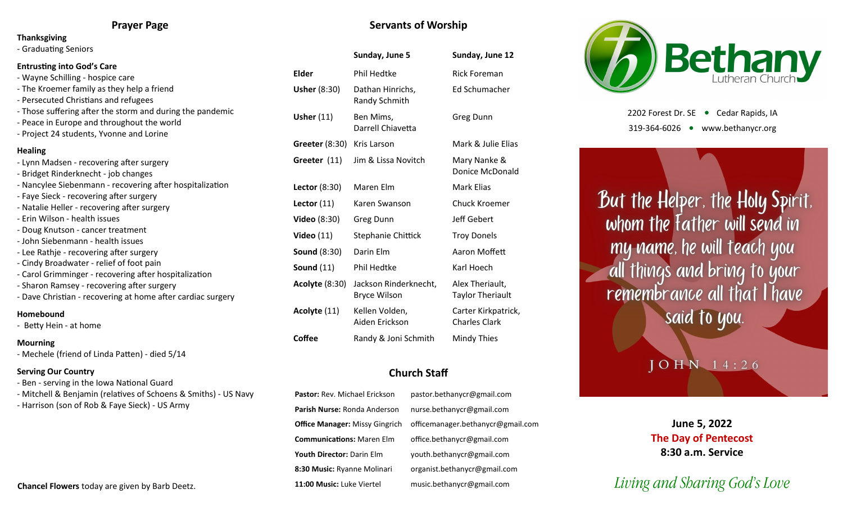## **Prayer Page**

#### **Thanksgiving**

- Graduating Seniors

## **Entrusting into God's Care**

- Wayne Schilling hospice care
- The Kroemer family as they help a friend
- Persecuted Christians and refugees
- Those suffering after the storm and during the pandemic
- Peace in Europe and throughout the world
- Project 24 students, Yvonne and Lorine

## **Healing**

- Lynn Madsen - recovering after surgery - Bridget Rinderknecht - job changes - Nancylee Siebenmann - recovering after hospitalization - Faye Sieck - recovering after surgery - Natalie Heller - recovering after surgery - Erin Wilson - health issues - Doug Knutson - cancer treatment - John Siebenmann - health issues - Lee Rathje - recovering after surgery - Cindy Broadwater - relief of foot pain - Carol Grimminger - recovering after hospitalization - Sharon Ramsey - recovering after surgery - Dave Christian - recovering at home after cardiac surgery **Homebound**

## - Betty Hein - at home

## **Mourning**

- Mechele (friend of Linda Patten) - died 5/14

## **Serving Our Country**

- Ben serving in the Iowa National Guard
- Mitchell & Benjamin (relatives of Schoens & Smiths) US Navy
- Harrison (son of Rob & Faye Sieck) US Army

## **Chancel Flowers** today are given by Barb Deetz.

## **Servants of Worship**

|                       | Sunday, June 5                                         | Sunday, June 12                             |  |
|-----------------------|--------------------------------------------------------|---------------------------------------------|--|
| Elder                 | <b>Phil Hedtke</b>                                     | <b>Rick Foreman</b>                         |  |
| <b>Usher (8:30)</b>   | Ed Schumacher<br>Dathan Hinrichs,<br>Randy Schmith     |                                             |  |
| <b>Usher (11)</b>     | Ben Mims,<br><b>Greg Dunn</b><br>Darrell Chiavetta     |                                             |  |
| Greeter (8:30)        | Kris Larson                                            | Mark & Julie Elias                          |  |
| Greeter (11)          | Jim & Lissa Novitch<br>Mary Nanke &<br>Donice McDonald |                                             |  |
| Lector (8:30)         | Maren Elm<br>Mark Elias                                |                                             |  |
| Lector $(11)$         | <b>Chuck Kroemer</b><br>Karen Swanson                  |                                             |  |
| Video (8:30)          | <b>Jeff Gebert</b><br><b>Greg Dunn</b>                 |                                             |  |
| <b>Video</b> (11)     | Stephanie Chittick<br><b>Troy Donels</b>               |                                             |  |
| <b>Sound (8:30)</b>   | Darin Elm<br>Aaron Moffett                             |                                             |  |
| <b>Sound (11)</b>     | Phil Hedtke                                            | Karl Hoech                                  |  |
| <b>Acolyte</b> (8:30) | Jackson Rinderknecht,<br><b>Bryce Wilson</b>           | Alex Theriault,<br><b>Taylor Theriault</b>  |  |
| Acolyte (11)          | Kellen Volden,<br>Aiden Erickson                       | Carter Kirkpatrick,<br><b>Charles Clark</b> |  |
| Coffee                | Mindy Thies<br>Randy & Joni Schmith                    |                                             |  |

## **Church Staff**

**Pastor:** Rev. Michael Erickson pastor.bethanycr@gmail.com **Parish Nurse:** Ronda Anderson nurse.bethanycr@gmail.com **Office Manager:** Missy Gingrich officemanager.bethanycr@gmail.com **Communications:** Maren Elm office.bethanycr@gmail.com **Youth Director:** Darin Elm youth.bethanycr@gmail.com **8:30 Music:** Ryanne Molinari organist.bethanycr@gmail.com **11:00 Music:** Luke Viertel music.bethanycr@gmail.com



2202 Forest Dr. SE ● Cedar Rapids, IA 319-364-6026 www.bethanycr.org

But the Helper, the Holy Spirit, whom the Father will send in my name, he will teach you all things and bring to your remembrance all that I have said to you.

## OHN 14:26

**June 5, 2022 The Day of Pentecost 8:30 a.m. Service**

# *Living and Sharing God's Love*